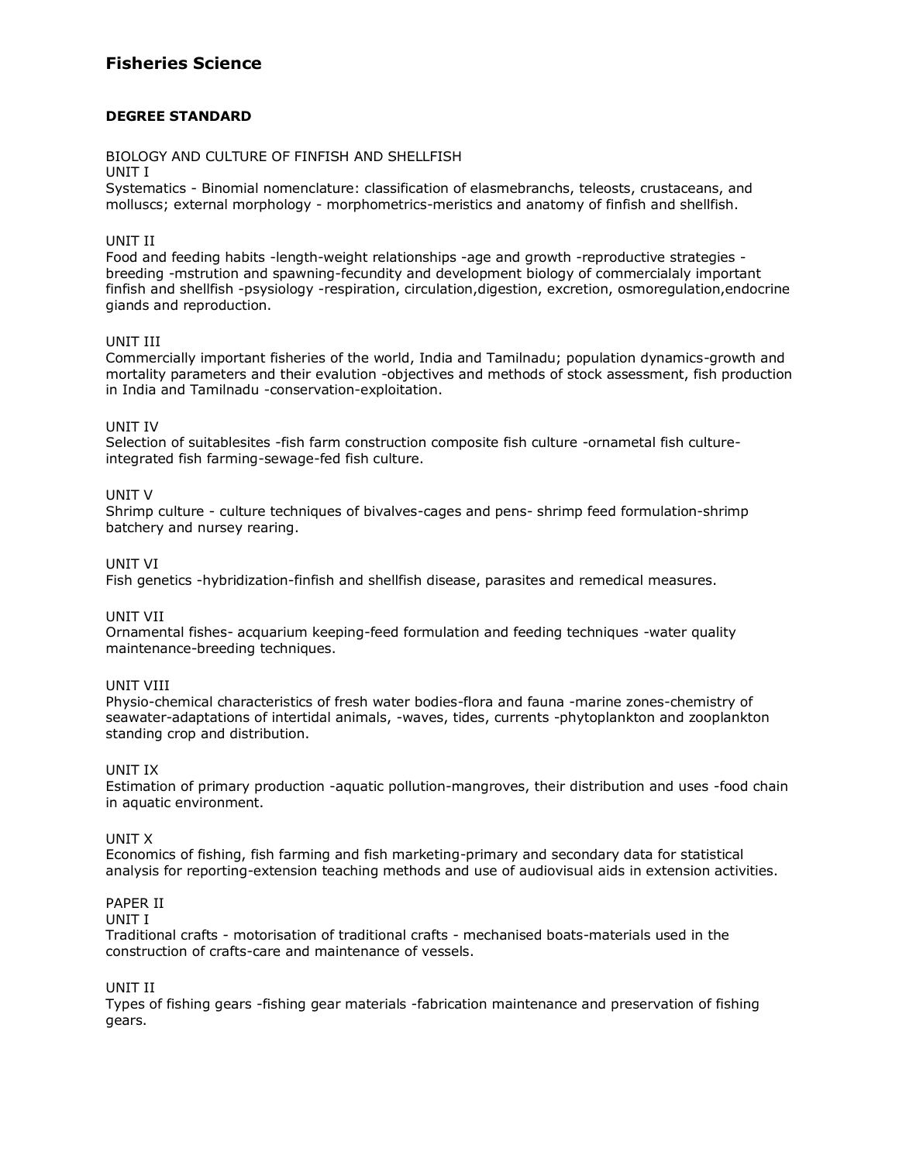# **Fisheries Science**

## **DEGREE STANDARD**

## BIOLOGY AND CULTURE OF FINFISH AND SHELLFISH

#### UNIT I

Systematics - Binomial nomenclature: classification of elasmebranchs, teleosts, crustaceans, and molluscs; external morphology - morphometrics-meristics and anatomy of finfish and shellfish.

## UNIT II

Food and feeding habits -length-weight relationships -age and growth -reproductive strategies breeding -mstrution and spawning-fecundity and development biology of commercialaly important finfish and shellfish -psysiology -respiration, circulation,digestion, excretion, osmoregulation,endocrine giands and reproduction.

## UNIT III

Commercially important fisheries of the world, India and Tamilnadu; population dynamics-growth and mortality parameters and their evalution -objectives and methods of stock assessment, fish production in India and Tamilnadu -conservation-exploitation.

## UNIT IV

Selection of suitablesites -fish farm construction composite fish culture -ornametal fish cultureintegrated fish farming-sewage-fed fish culture.

## UNIT V

Shrimp culture - culture techniques of bivalves-cages and pens- shrimp feed formulation-shrimp batchery and nursey rearing.

## UNIT VI

Fish genetics -hybridization-finfish and shellfish disease, parasites and remedical measures.

#### UNIT VII

Ornamental fishes- acquarium keeping-feed formulation and feeding techniques -water quality maintenance-breeding techniques.

#### UNIT VIII

Physio-chemical characteristics of fresh water bodies-flora and fauna -marine zones-chemistry of seawater-adaptations of intertidal animals, -waves, tides, currents -phytoplankton and zooplankton standing crop and distribution.

#### UNIT IX

Estimation of primary production -aquatic pollution-mangroves, their distribution and uses -food chain in aquatic environment.

#### UNIT X

Economics of fishing, fish farming and fish marketing-primary and secondary data for statistical analysis for reporting-extension teaching methods and use of audiovisual aids in extension activities.

#### PAPER II

#### UNIT I

Traditional crafts - motorisation of traditional crafts - mechanised boats-materials used in the construction of crafts-care and maintenance of vessels.

#### UNIT II

Types of fishing gears -fishing gear materials -fabrication maintenance and preservation of fishing gears.